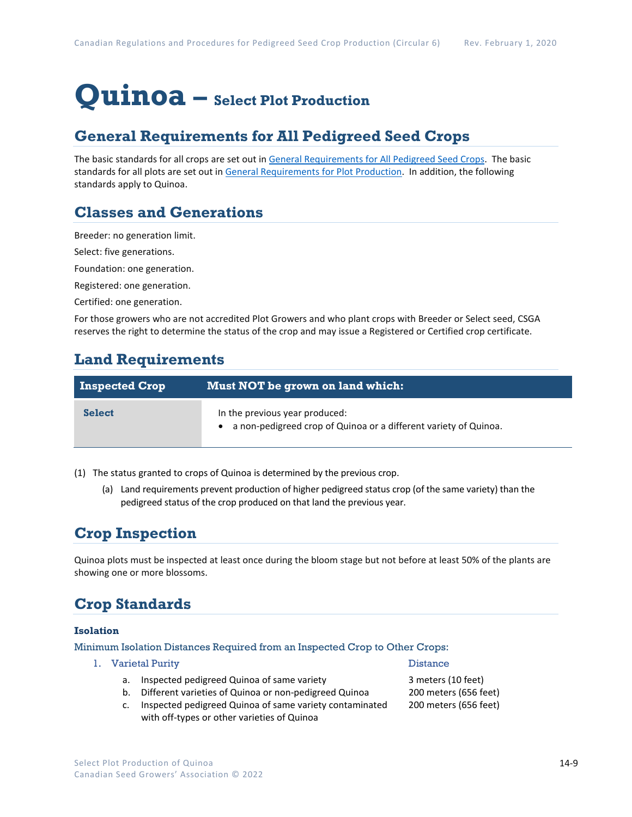# **Quinoa – Select Plot Production**

## **General Requirements for All Pedigreed Seed Crops**

The basic standards for all crops are set out i[n General Requirements for All Pedigreed Seed](https://seedgrowers.ca/wp-content/uploads/2020/01/GENERAL-REQUIREMENTS-ALL-CROPS_EN.pdf) Crops. The basic standards for all plots are set out i[n General Requirements for Plot Production.](https://seedgrowers.ca/wp-content/uploads/2020/01/GENERAL-REQUIREMENTS-PLOTS_EN.pdf) In addition, the following standards apply to Quinoa.

#### **Classes and Generations**

Breeder: no generation limit.

Select: five generations.

Foundation: one generation.

Registered: one generation.

Certified: one generation.

For those growers who are not accredited Plot Growers and who plant crops with Breeder or Select seed, CSGA reserves the right to determine the status of the crop and may issue a Registered or Certified crop certificate.

## **Land Requirements**

| <b>Inspected Crop</b> | Must NOT be grown on land which:                                                                     |
|-----------------------|------------------------------------------------------------------------------------------------------|
| <b>Select</b>         | In the previous year produced:<br>• a non-pedigreed crop of Quinoa or a different variety of Quinoa. |

(1) The status granted to crops of Quinoa is determined by the previous crop.

(a) Land requirements prevent production of higher pedigreed status crop (of the same variety) than the pedigreed status of the crop produced on that land the previous year.

## **Crop Inspection**

Quinoa plots must be inspected at least once during the bloom stage but not before at least 50% of the plants are showing one or more blossoms.

# **Crop Standards**

#### **Isolation**

Minimum Isolation Distances Required from an Inspected Crop to Other Crops:

- 1. Varietal Purity Distance
	- a. Inspected pedigreed Quinoa of same variety 3 meters (10 feet)
	- b. Different varieties of Quinoa or non-pedigreed Quinoa 200 meters (656 feet)
	- c. Inspected pedigreed Quinoa of same variety contaminated 200 meters (656 feet) with off-types or other varieties of Quinoa